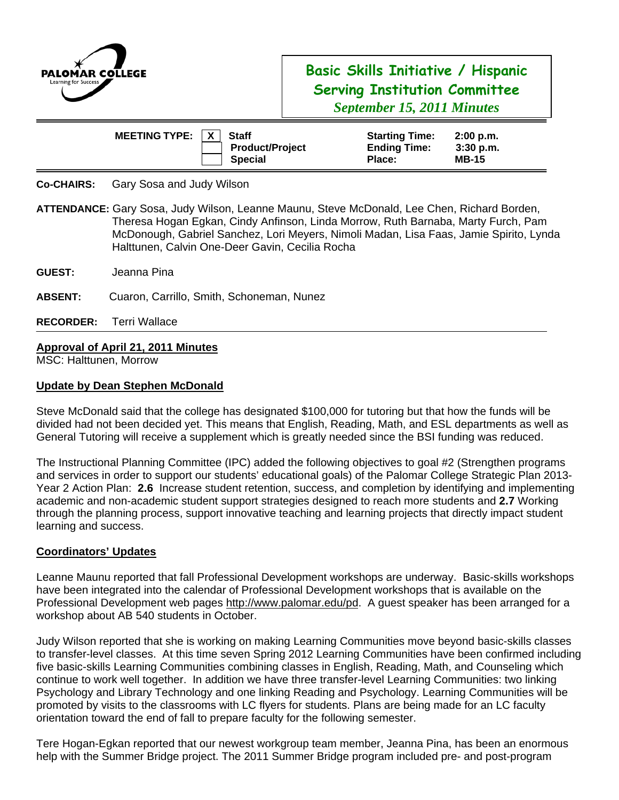

# **Basic Skills Initiative / Hispanic Serving Institution Committee**  *September 15, 2011 Minutes*

| <b>MEETING TYPE:</b> | $\mathsf{X}$ | <b>Staff</b>           | <b>Starting Time:</b> | $2:00$ p.m.  |  |
|----------------------|--------------|------------------------|-----------------------|--------------|--|
|                      |              | <b>Product/Project</b> | <b>Ending Time:</b>   | $3:30$ p.m.  |  |
|                      |              | <b>Special</b>         | Place:                | <b>MB-15</b> |  |

### **Co-CHAIRS:** Gary Sosa and Judy Wilson

**ATTENDANCE:** Gary Sosa, Judy Wilson, Leanne Maunu, Steve McDonald, Lee Chen, Richard Borden, Theresa Hogan Egkan, Cindy Anfinson, Linda Morrow, Ruth Barnaba, Marty Furch, Pam McDonough, Gabriel Sanchez, Lori Meyers, Nimoli Madan, Lisa Faas, Jamie Spirito, Lynda Halttunen, Calvin One-Deer Gavin, Cecilia Rocha

- **GUEST:** Jeanna Pina
- **ABSENT:** Cuaron, Carrillo, Smith, Schoneman, Nunez
- **RECORDER:** Terri Wallace

## **Approval of April 21, 2011 Minutes**

MSC: Halttunen, Morrow

### **Update by Dean Stephen McDonald**

Steve McDonald said that the college has designated \$100,000 for tutoring but that how the funds will be divided had not been decided yet. This means that English, Reading, Math, and ESL departments as well as General Tutoring will receive a supplement which is greatly needed since the BSI funding was reduced.

The Instructional Planning Committee (IPC) added the following objectives to goal #2 (Strengthen programs and services in order to support our students' educational goals) of the Palomar College Strategic Plan 2013- Year 2 Action Plan: **2.6** Increase student retention, success, and completion by identifying and implementing academic and non-academic student support strategies designed to reach more students and **2.7** Working through the planning process, support innovative teaching and learning projects that directly impact student learning and success.

#### **Coordinators' Updates**

Leanne Maunu reported that fall Professional Development workshops are underway. Basic-skills workshops have been integrated into the calendar of Professional Development workshops that is available on the Professional Development web pages http://www.palomar.edu/pd. A guest speaker has been arranged for a workshop about AB 540 students in October.

Judy Wilson reported that she is working on making Learning Communities move beyond basic-skills classes to transfer-level classes. At this time seven Spring 2012 Learning Communities have been confirmed including five basic-skills Learning Communities combining classes in English, Reading, Math, and Counseling which continue to work well together. In addition we have three transfer-level Learning Communities: two linking Psychology and Library Technology and one linking Reading and Psychology. Learning Communities will be promoted by visits to the classrooms with LC flyers for students. Plans are being made for an LC faculty orientation toward the end of fall to prepare faculty for the following semester.

Tere Hogan-Egkan reported that our newest workgroup team member, Jeanna Pina, has been an enormous help with the Summer Bridge project. The 2011 Summer Bridge program included pre- and post-program